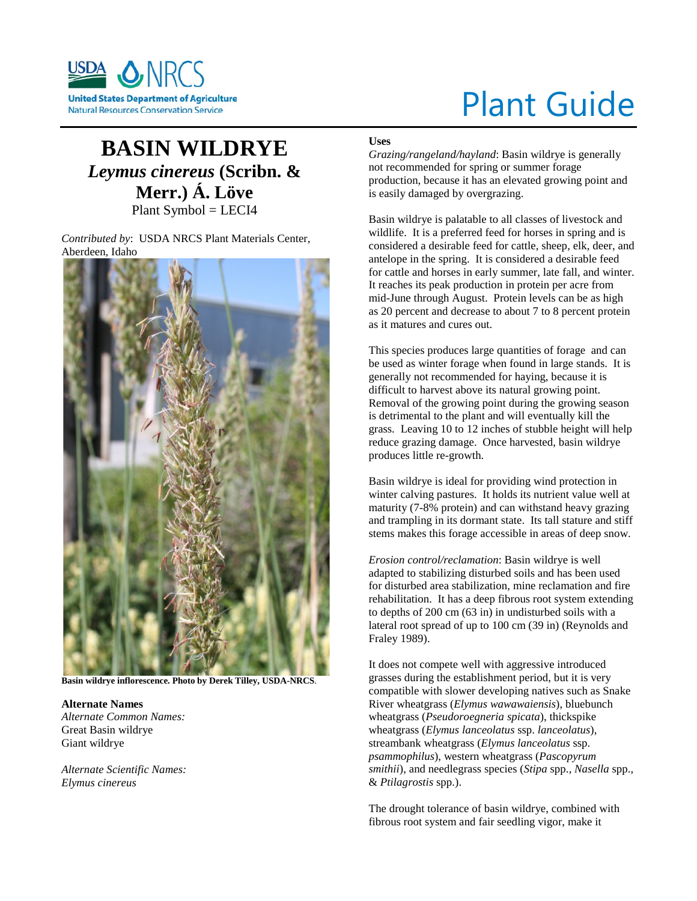

# Plant Guide

# **BASIN WILDRYE** *Leymus cinereus* **(Scribn. & Merr.) Á. Löve** Plant Symbol = LECI4

*Contributed by*: USDA NRCS Plant Materials Center, Aberdeen, Idaho



**Basin wildrye inflorescence. Photo by Derek Tilley, USDA-NRCS**.

**Alternate Names** *Alternate Common Names:*  Great Basin wildrye Giant wildrye

*Alternate Scientific Names: Elymus cinereus*

# **Uses**

*Grazing/rangeland/hayland*: Basin wildrye is generally not recommended for spring or summer forage production, because it has an elevated growing point and is easily damaged by overgrazing.

Basin wildrye is palatable to all classes of livestock and wildlife. It is a preferred feed for horses in spring and is considered a desirable feed for cattle, sheep, elk, deer, and antelope in the spring. It is considered a desirable feed for cattle and horses in early summer, late fall, and winter. It reaches its peak production in protein per acre from mid-June through August. Protein levels can be as high as 20 percent and decrease to about 7 to 8 percent protein as it matures and cures out.

This species produces large quantities of forage and can be used as winter forage when found in large stands. It is generally not recommended for haying, because it is difficult to harvest above its natural growing point. Removal of the growing point during the growing season is detrimental to the plant and will eventually kill the grass. Leaving 10 to 12 inches of stubble height will help reduce grazing damage. Once harvested, basin wildrye produces little re-growth.

Basin wildrye is ideal for providing wind protection in winter calving pastures. It holds its nutrient value well at maturity (7-8% protein) and can withstand heavy grazing and trampling in its dormant state. Its tall stature and stiff stems makes this forage accessible in areas of deep snow.

*Erosion control/reclamation*: Basin wildrye is well adapted to stabilizing disturbed soils and has been used for disturbed area stabilization, mine reclamation and fire rehabilitation. It has a deep fibrous root system extending to depths of 200 cm (63 in) in undisturbed soils with a lateral root spread of up to 100 cm (39 in) (Reynolds and Fraley 1989).

It does not compete well with aggressive introduced grasses during the establishment period, but it is very compatible with slower developing natives such as Snake River wheatgrass (*Elymus wawawaiensis*), bluebunch wheatgrass (*Pseudoroegneria spicata*), thickspike wheatgrass (*Elymus lanceolatus* ssp. *lanceolatus*), streambank wheatgrass (*Elymus lanceolatus* ssp. *psammophilus*), western wheatgrass (*Pascopyrum smithii*), and needlegrass species (*Stipa* spp., *Nasella* spp., & *Ptilagrostis* spp.).

The drought tolerance of basin wildrye, combined with fibrous root system and fair seedling vigor, make it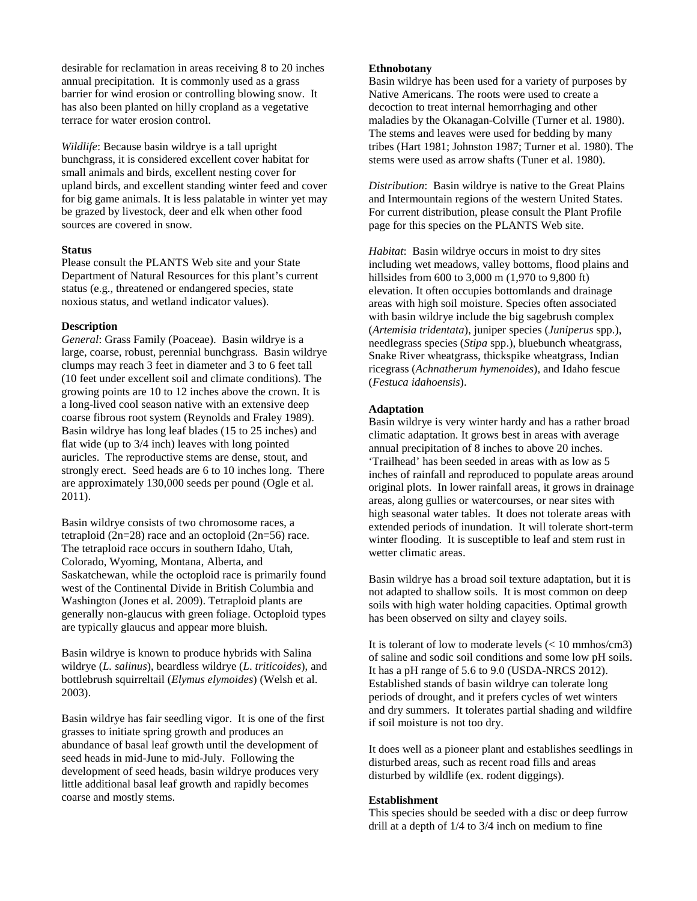desirable for reclamation in areas receiving 8 to 20 inches annual precipitation. It is commonly used as a grass barrier for wind erosion or controlling blowing snow. It has also been planted on hilly cropland as a vegetative terrace for water erosion control.

*Wildlife*: Because basin wildrye is a tall upright bunchgrass, it is considered excellent cover habitat for small animals and birds, excellent nesting cover for upland birds, and excellent standing winter feed and cover for big game animals. It is less palatable in winter yet may be grazed by livestock, deer and elk when other food sources are covered in snow.

# **Status**

Please consult the PLANTS Web site and your State Department of Natural Resources for this plant's current status (e.g., threatened or endangered species, state noxious status, and wetland indicator values).

# **Description**

*General*: Grass Family (Poaceae). Basin wildrye is a large, coarse, robust, perennial bunchgrass. Basin wildrye clumps may reach 3 feet in diameter and 3 to 6 feet tall (10 feet under excellent soil and climate conditions). The growing points are 10 to 12 inches above the crown. It is a long-lived cool season native with an extensive deep coarse fibrous root system (Reynolds and Fraley 1989). Basin wildrye has long leaf blades (15 to 25 inches) and flat wide (up to 3/4 inch) leaves with long pointed auricles. The reproductive stems are dense, stout, and strongly erect. Seed heads are 6 to 10 inches long. There are approximately 130,000 seeds per pound (Ogle et al. 2011).

Basin wildrye consists of two chromosome races, a tetraploid  $(2n=28)$  race and an octoploid  $(2n=56)$  race. The tetraploid race occurs in southern Idaho, Utah, Colorado, Wyoming, Montana, Alberta, and Saskatchewan, while the octoploid race is primarily found west of the Continental Divide in British Columbia and Washington (Jones et al. 2009). Tetraploid plants are generally non-glaucus with green foliage. Octoploid types are typically glaucus and appear more bluish.

Basin wildrye is known to produce hybrids with Salina wildrye (*L. salinus*), beardless wildrye (*L*. *triticoides*), and bottlebrush squirreltail (*Elymus elymoides*) (Welsh et al. 2003).

Basin wildrye has fair seedling vigor. It is one of the first grasses to initiate spring growth and produces an abundance of basal leaf growth until the development of seed heads in mid-June to mid-July. Following the development of seed heads, basin wildrye produces very little additional basal leaf growth and rapidly becomes coarse and mostly stems.

# **Ethnobotany**

Basin wildrye has been used for a variety of purposes by Native Americans. The roots were used to create a decoction to treat internal hemorrhaging and other maladies by the Okanagan-Colville (Turner et al. 1980). The stems and leaves were used for bedding by many tribes (Hart 1981; Johnston 1987; Turner et al. 1980). The stems were used as arrow shafts (Tuner et al. 1980).

*Distribution*: Basin wildrye is native to the Great Plains and Intermountain regions of the western United States. For current distribution, please consult the Plant Profile page for this species on the PLANTS Web site.

*Habitat*: Basin wildrye occurs in moist to dry sites including wet meadows, valley bottoms, flood plains and hillsides from 600 to 3,000 m (1,970 to 9,800 ft) elevation. It often occupies bottomlands and drainage areas with high soil moisture. Species often associated with basin wildrye include the big sagebrush complex (*Artemisia tridentata*), juniper species (*Juniperus* spp.), needlegrass species (*Stipa* spp.), bluebunch wheatgrass, Snake River wheatgrass, thickspike wheatgrass, Indian ricegrass (*Achnatherum hymenoides*), and Idaho fescue (*Festuca idahoensis*).

#### **Adaptation**

Basin wildrye is very winter hardy and has a rather broad climatic adaptation. It grows best in areas with average annual precipitation of 8 inches to above 20 inches. 'Trailhead' has been seeded in areas with as low as 5 inches of rainfall and reproduced to populate areas around original plots. In lower rainfall areas, it grows in drainage areas, along gullies or watercourses, or near sites with high seasonal water tables. It does not tolerate areas with extended periods of inundation. It will tolerate short-term winter flooding. It is susceptible to leaf and stem rust in wetter climatic areas.

Basin wildrye has a broad soil texture adaptation, but it is not adapted to shallow soils. It is most common on deep soils with high water holding capacities. Optimal growth has been observed on silty and clayey soils.

It is tolerant of low to moderate levels  $\ll 10$  mmhos/cm3) of saline and sodic soil conditions and some low pH soils. It has a pH range of 5.6 to 9.0 (USDA-NRCS 2012). Established stands of basin wildrye can tolerate long periods of drought, and it prefers cycles of wet winters and dry summers. It tolerates partial shading and wildfire if soil moisture is not too dry.

It does well as a pioneer plant and establishes seedlings in disturbed areas, such as recent road fills and areas disturbed by wildlife (ex. rodent diggings).

# **Establishment**

This species should be seeded with a disc or deep furrow drill at a depth of 1/4 to 3/4 inch on medium to fine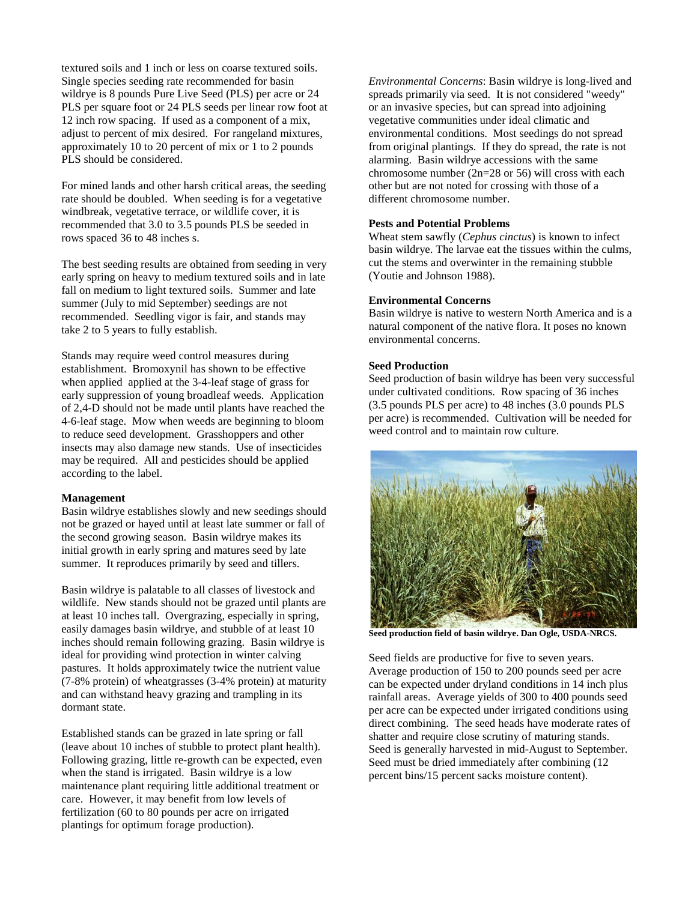textured soils and 1 inch or less on coarse textured soils. Single species seeding rate recommended for basin wildrye is 8 pounds Pure Live Seed (PLS) per acre or 24 PLS per square foot or 24 PLS seeds per linear row foot at 12 inch row spacing. If used as a component of a mix, adjust to percent of mix desired. For rangeland mixtures, approximately 10 to 20 percent of mix or 1 to 2 pounds PLS should be considered.

For mined lands and other harsh critical areas, the seeding rate should be doubled. When seeding is for a vegetative windbreak, vegetative terrace, or wildlife cover, it is recommended that 3.0 to 3.5 pounds PLS be seeded in rows spaced 36 to 48 inches s.

The best seeding results are obtained from seeding in very early spring on heavy to medium textured soils and in late fall on medium to light textured soils. Summer and late summer (July to mid September) seedings are not recommended. Seedling vigor is fair, and stands may take 2 to 5 years to fully establish.

Stands may require weed control measures during establishment. Bromoxynil has shown to be effective when applied applied at the 3-4-leaf stage of grass for early suppression of young broadleaf weeds. Application of 2,4-D should not be made until plants have reached the 4-6-leaf stage. Mow when weeds are beginning to bloom to reduce seed development. Grasshoppers and other insects may also damage new stands. Use of insecticides may be required. All and pesticides should be applied according to the label.

#### **Management**

Basin wildrye establishes slowly and new seedings should not be grazed or hayed until at least late summer or fall of the second growing season. Basin wildrye makes its initial growth in early spring and matures seed by late summer. It reproduces primarily by seed and tillers.

Basin wildrye is palatable to all classes of livestock and wildlife. New stands should not be grazed until plants are at least 10 inches tall. Overgrazing, especially in spring, easily damages basin wildrye, and stubble of at least 10 inches should remain following grazing. Basin wildrye is ideal for providing wind protection in winter calving pastures. It holds approximately twice the nutrient value (7-8% protein) of wheatgrasses (3-4% protein) at maturity and can withstand heavy grazing and trampling in its dormant state.

Established stands can be grazed in late spring or fall (leave about 10 inches of stubble to protect plant health). Following grazing, little re-growth can be expected, even when the stand is irrigated. Basin wildrye is a low maintenance plant requiring little additional treatment or care. However, it may benefit from low levels of fertilization (60 to 80 pounds per acre on irrigated plantings for optimum forage production).

*Environmental Concerns*: Basin wildrye is long-lived and spreads primarily via seed. It is not considered "weedy" or an invasive species, but can spread into adjoining vegetative communities under ideal climatic and environmental conditions. Most seedings do not spread from original plantings. If they do spread, the rate is not alarming. Basin wildrye accessions with the same chromosome number (2n=28 or 56) will cross with each other but are not noted for crossing with those of a different chromosome number.

# **Pests and Potential Problems**

Wheat stem sawfly (*Cephus cinctus*) is known to infect basin wildrye. The larvae eat the tissues within the culms, cut the stems and overwinter in the remaining stubble (Youtie and Johnson 1988).

# **Environmental Concerns**

Basin wildrye is native to western North America and is a natural component of the native flora. It poses no known environmental concerns.

#### **Seed Production**

Seed production of basin wildrye has been very successful under cultivated conditions. Row spacing of 36 inches (3.5 pounds PLS per acre) to 48 inches (3.0 pounds PLS per acre) is recommended. Cultivation will be needed for weed control and to maintain row culture.



**Seed production field of basin wildrye. Dan Ogle, USDA-NRCS.**

Seed fields are productive for five to seven years. Average production of 150 to 200 pounds seed per acre can be expected under dryland conditions in 14 inch plus rainfall areas. Average yields of 300 to 400 pounds seed per acre can be expected under irrigated conditions using direct combining. The seed heads have moderate rates of shatter and require close scrutiny of maturing stands. Seed is generally harvested in mid-August to September. Seed must be dried immediately after combining (12 percent bins/15 percent sacks moisture content).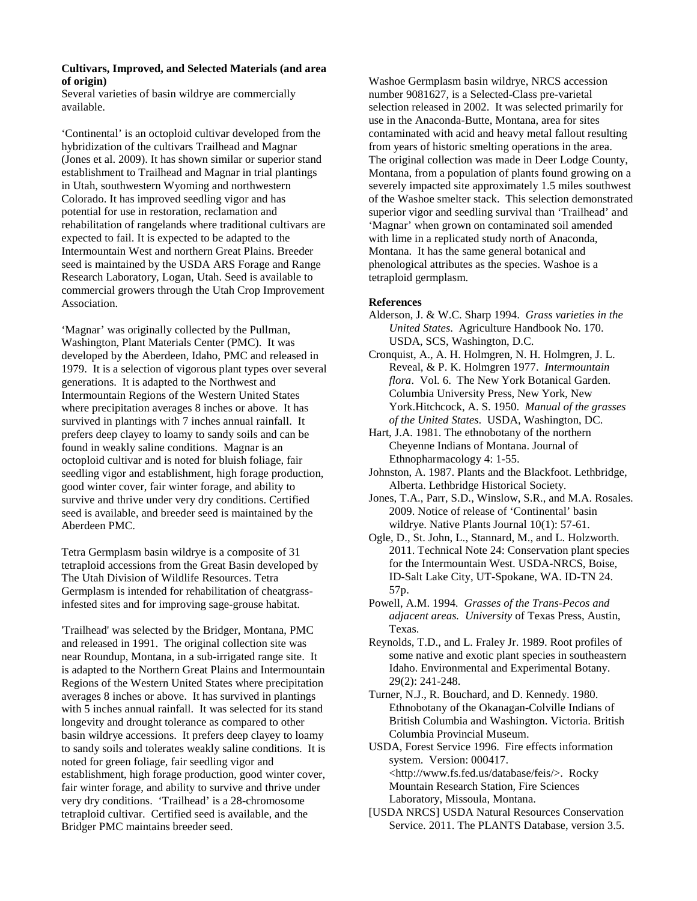# **Cultivars, Improved, and Selected Materials (and area of origin)**

Several varieties of basin wildrye are commercially available.

'Continental' is an octoploid cultivar developed from the hybridization of the cultivars Trailhead and Magnar (Jones et al. 2009). It has shown similar or superior stand establishment to Trailhead and Magnar in trial plantings in Utah, southwestern Wyoming and northwestern Colorado. It has improved seedling vigor and has potential for use in restoration, reclamation and rehabilitation of rangelands where traditional cultivars are expected to fail. It is expected to be adapted to the Intermountain West and northern Great Plains. Breeder seed is maintained by the USDA ARS Forage and Range Research Laboratory, Logan, Utah. Seed is available to commercial growers through the Utah Crop Improvement Association.

'Magnar' was originally collected by the Pullman, Washington, Plant Materials Center (PMC). It was developed by the Aberdeen, Idaho, PMC and released in 1979. It is a selection of vigorous plant types over several generations. It is adapted to the Northwest and Intermountain Regions of the Western United States where precipitation averages 8 inches or above. It has survived in plantings with 7 inches annual rainfall. It prefers deep clayey to loamy to sandy soils and can be found in weakly saline conditions. Magnar is an octoploid cultivar and is noted for bluish foliage, fair seedling vigor and establishment, high forage production, good winter cover, fair winter forage, and ability to survive and thrive under very dry conditions. Certified seed is available, and breeder seed is maintained by the Aberdeen PMC.

Tetra Germplasm basin wildrye is a composite of 31 tetraploid accessions from the Great Basin developed by The Utah Division of Wildlife Resources. Tetra Germplasm is intended for rehabilitation of cheatgrassinfested sites and for improving sage-grouse habitat.

'Trailhead' was selected by the Bridger, Montana, PMC and released in 1991. The original collection site was near Roundup, Montana, in a sub-irrigated range site. It is adapted to the Northern Great Plains and Intermountain Regions of the Western United States where precipitation averages 8 inches or above. It has survived in plantings with 5 inches annual rainfall. It was selected for its stand longevity and drought tolerance as compared to other basin wildrye accessions. It prefers deep clayey to loamy to sandy soils and tolerates weakly saline conditions. It is noted for green foliage, fair seedling vigor and establishment, high forage production, good winter cover, fair winter forage, and ability to survive and thrive under very dry conditions. 'Trailhead' is a 28-chromosome tetraploid cultivar. Certified seed is available, and the Bridger PMC maintains breeder seed.

Washoe Germplasm basin wildrye, NRCS accession number 9081627, is a Selected-Class pre-varietal selection released in 2002. It was selected primarily for use in the Anaconda-Butte, Montana, area for sites contaminated with acid and heavy metal fallout resulting from years of historic smelting operations in the area. The original collection was made in Deer Lodge County, Montana, from a population of plants found growing on a severely impacted site approximately 1.5 miles southwest of the Washoe smelter stack. This selection demonstrated superior vigor and seedling survival than 'Trailhead' and 'Magnar' when grown on contaminated soil amended with lime in a replicated study north of Anaconda, Montana. It has the same general botanical and phenological attributes as the species. Washoe is a tetraploid germplasm.

# **References**

- Alderson, J. & W.C. Sharp 1994. *Grass varieties in the United States*. Agriculture Handbook No. 170. USDA, SCS, Washington, D.C.
- Cronquist, A., A. H. Holmgren, N. H. Holmgren, J. L. Reveal, & P. K. Holmgren 1977. *Intermountain flora*. Vol. 6. The New York Botanical Garden. Columbia University Press, New York, New York.Hitchcock, A. S. 1950. *Manual of the grasses of the United States*. USDA, Washington, DC.
- Hart, J.A. 1981. The ethnobotany of the northern Cheyenne Indians of Montana. Journal of Ethnopharmacology 4: 1-55.
- Johnston, A. 1987. Plants and the Blackfoot. Lethbridge, Alberta. Lethbridge Historical Society.
- Jones, T.A., Parr, S.D., Winslow, S.R., and M.A. Rosales. 2009. Notice of release of 'Continental' basin wildrye. Native Plants Journal  $10(1)$ : 57-61.
- Ogle, D., St. John, L., Stannard, M., and L. Holzworth. 2011. Technical Note 24: Conservation plant species for the Intermountain West. USDA-NRCS, Boise, ID-Salt Lake City, UT-Spokane, WA. ID-TN 24. 57p.
- Powell, A.M. 1994*. Grasses of the Trans-Pecos and adjacent areas. University* of Texas Press, Austin, Texas.
- Reynolds, T.D., and L. Fraley Jr. 1989. Root profiles of some native and exotic plant species in southeastern Idaho. Environmental and Experimental Botany. 29(2): 241-248.
- Turner, N.J., R. Bouchard, and D. Kennedy. 1980. Ethnobotany of the Okanagan-Colville Indians of British Columbia and Washington. Victoria. British Columbia Provincial Museum.

USDA, Forest Service 1996. Fire effects information system. Version: 000417. <http://www.fs.fed.us/database/feis/>. Rocky Mountain Research Station, Fire Sciences Laboratory, Missoula, Montana.

[USDA NRCS] USDA Natural Resources Conservation Service. 2011. The PLANTS Database, version 3.5.